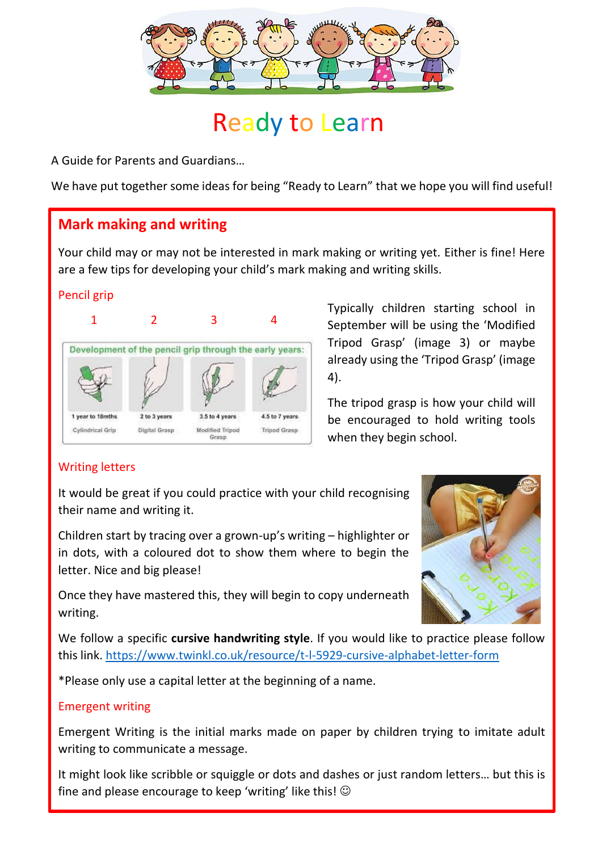

# Ready to Learn

A Guide for Parents and Guardians…

We have put together some ideas for being "Ready to Learn" that we hope you will find useful!

## **Mark making and writing**

Your child may or may not be interested in mark making or writing yet. Either is fine! Here are a few tips for developing your child's mark making and writing skills.

#### Pencil grip



Typically children starting school in September will be using the 'Modified Tripod Grasp' (image 3) or maybe already using the 'Tripod Grasp' (image 4).

The tripod grasp is how your child will be encouraged to hold writing tools when they begin school.

#### Writing letters

It would be great if you could practice with your child recognising their name and writing it.

Children start by tracing over a grown-up's writing – highlighter or in dots, with a coloured dot to show them where to begin the letter. Nice and big please!

Once they have mastered this, they will begin to copy underneath writing.



We follow a specific **cursive handwriting style**. If you would like to practice please follow this link.<https://www.twinkl.co.uk/resource/t-l-5929-cursive-alphabet-letter-form>

\*Please only use a capital letter at the beginning of a name.

#### Emergent writing

Emergent Writing is the initial marks made on paper by children trying to imitate adult writing to communicate a message.

It might look like scribble or squiggle or dots and dashes or just random letters… but this is fine and please encourage to keep 'writing' like this!  $\odot$